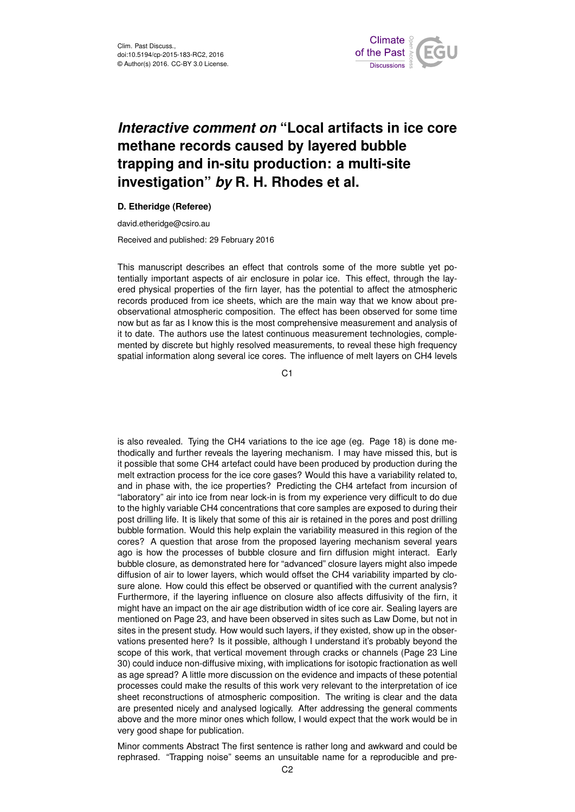

## *Interactive comment on* **"Local artifacts in ice core methane records caused by layered bubble trapping and in-situ production: a multi-site investigation"** *by* **R. H. Rhodes et al.**

## **D. Etheridge (Referee)**

david.etheridge@csiro.au

Received and published: 29 February 2016

This manuscript describes an effect that controls some of the more subtle yet potentially important aspects of air enclosure in polar ice. This effect, through the layered physical properties of the firn layer, has the potential to affect the atmospheric records produced from ice sheets, which are the main way that we know about preobservational atmospheric composition. The effect has been observed for some time now but as far as I know this is the most comprehensive measurement and analysis of it to date. The authors use the latest continuous measurement technologies, complemented by discrete but highly resolved measurements, to reveal these high frequency spatial information along several ice cores. The influence of melt layers on CH4 levels

C<sub>1</sub>

is also revealed. Tying the CH4 variations to the ice age (eg. Page 18) is done methodically and further reveals the layering mechanism. I may have missed this, but is it possible that some CH4 artefact could have been produced by production during the melt extraction process for the ice core gases? Would this have a variability related to, and in phase with, the ice properties? Predicting the CH4 artefact from incursion of "laboratory" air into ice from near lock-in is from my experience very difficult to do due to the highly variable CH4 concentrations that core samples are exposed to during their post drilling life. It is likely that some of this air is retained in the pores and post drilling bubble formation. Would this help explain the variability measured in this region of the cores? A question that arose from the proposed layering mechanism several years ago is how the processes of bubble closure and firn diffusion might interact. Early bubble closure, as demonstrated here for "advanced" closure layers might also impede diffusion of air to lower layers, which would offset the CH4 variability imparted by closure alone. How could this effect be observed or quantified with the current analysis? Furthermore, if the layering influence on closure also affects diffusivity of the firn, it might have an impact on the air age distribution width of ice core air. Sealing layers are mentioned on Page 23, and have been observed in sites such as Law Dome, but not in sites in the present study. How would such layers, if they existed, show up in the observations presented here? Is it possible, although I understand it's probably beyond the scope of this work, that vertical movement through cracks or channels (Page 23 Line 30) could induce non-diffusive mixing, with implications for isotopic fractionation as well as age spread? A little more discussion on the evidence and impacts of these potential processes could make the results of this work very relevant to the interpretation of ice sheet reconstructions of atmospheric composition. The writing is clear and the data are presented nicely and analysed logically. After addressing the general comments above and the more minor ones which follow, I would expect that the work would be in very good shape for publication.

Minor comments Abstract The first sentence is rather long and awkward and could be rephrased. "Trapping noise" seems an unsuitable name for a reproducible and pre